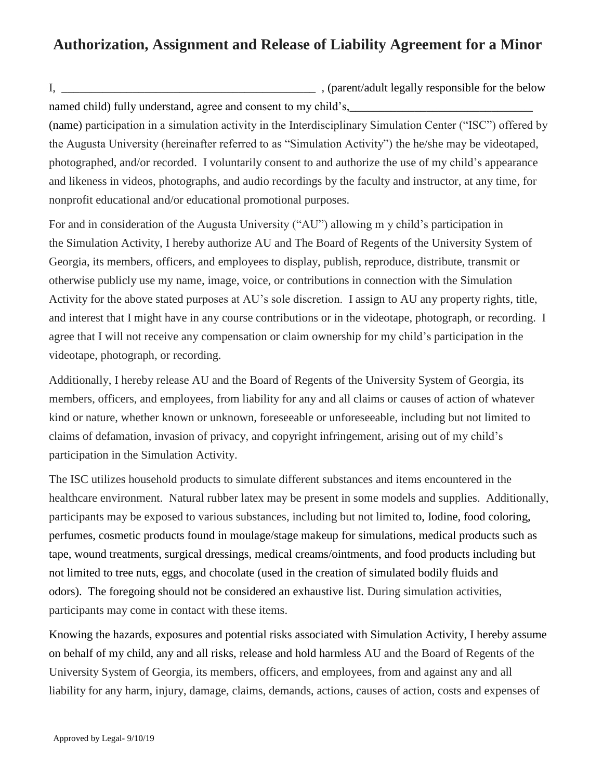## **Authorization, Assignment and Release of Liability Agreement for a Minor**

I, the example of the set of the set of the set of the set of the set of the below  $\sim$  (parent/adult legally responsible for the below named child) fully understand, agree and consent to my child's,

(name) participation in a simulation activity in the Interdisciplinary Simulation Center ("ISC") offered by the Augusta University (hereinafter referred to as "Simulation Activity") the he/she may be videotaped, photographed, and/or recorded. I voluntarily consent to and authorize the use of my child's appearance and likeness in videos, photographs, and audio recordings by the faculty and instructor, at any time, for nonprofit educational and/or educational promotional purposes.

For and in consideration of the Augusta University ("AU") allowing m y child's participation in the Simulation Activity, I hereby authorize AU and The Board of Regents of the University System of Georgia, its members, officers, and employees to display, publish, reproduce, distribute, transmit or otherwise publicly use my name, image, voice, or contributions in connection with the Simulation Activity for the above stated purposes at AU's sole discretion. I assign to AU any property rights, title, and interest that I might have in any course contributions or in the videotape, photograph, or recording. I agree that I will not receive any compensation or claim ownership for my child's participation in the videotape, photograph, or recording.

Additionally, I hereby release AU and the Board of Regents of the University System of Georgia, its members, officers, and employees, from liability for any and all claims or causes of action of whatever kind or nature, whether known or unknown, foreseeable or unforeseeable, including but not limited to claims of defamation, invasion of privacy, and copyright infringement, arising out of my child's participation in the Simulation Activity.

The ISC utilizes household products to simulate different substances and items encountered in the healthcare environment. Natural rubber latex may be present in some models and supplies. Additionally, participants may be exposed to various substances, including but not limited to, Iodine, food coloring, perfumes, cosmetic products found in moulage/stage makeup for simulations, medical products such as tape, wound treatments, surgical dressings, medical creams/ointments, and food products including but not limited to tree nuts, eggs, and chocolate (used in the creation of simulated bodily fluids and odors). The foregoing should not be considered an exhaustive list. During simulation activities, participants may come in contact with these items.

Knowing the hazards, exposures and potential risks associated with Simulation Activity, I hereby assume on behalf of my child, any and all risks, release and hold harmless AU and the Board of Regents of the University System of Georgia, its members, officers, and employees, from and against any and all liability for any harm, injury, damage, claims, demands, actions, causes of action, costs and expenses of